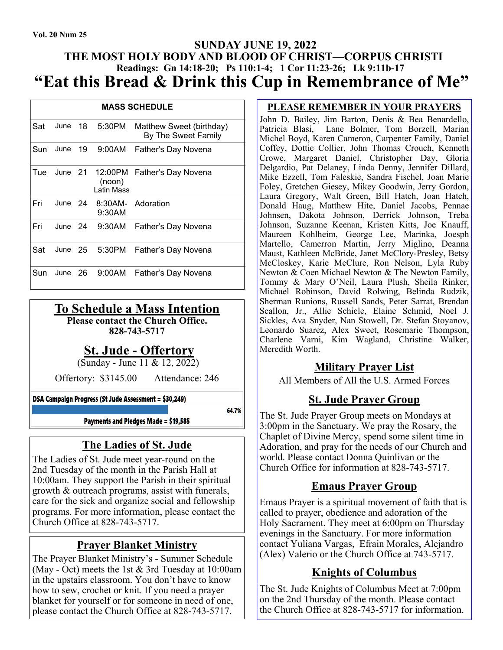#### **SUNDAY JUNE 19, 2022 THE MOST HOLY BODY AND BLOOD OF CHRIST—CORPUS CHRISTI Readings: Gn 14:18-20; Ps 110:1-4; 1 Cor 11:23-26; Lk 9:11b-17 "Eat this Bread & Drink this Cup in Remembrance of Me"**

| <b>MASS SCHEDULE</b> |         |  |                                     |                                                 |
|----------------------|---------|--|-------------------------------------|-------------------------------------------------|
| Sat                  |         |  | June 18 5:30PM                      | Matthew Sweet (birthday)<br>By The Sweet Family |
| Sun                  | June 19 |  | 9:00AM                              | Father's Day Novena                             |
| Tue                  | June 21 |  | (noon)<br>I atin Mass               | 12:00PM Father's Day Novena                     |
| Fri                  |         |  | June 24 8:30AM- Adoration<br>9:30AM |                                                 |
| Fri                  |         |  |                                     | June 24 9:30AM Father's Day Novena              |
| Sat                  |         |  | June 25 5:30PM                      | Father's Day Novena                             |
| Sun                  |         |  | June 26 9:00AM                      | Father's Day Novena                             |

# **To Schedule a Mass Intention**

**Please contact the Church Office.** 

**828-743-5717** 

# **St. Jude - Offertory**

(Sunday - June 11 & 12, 2022)

Offertory: \$3145.00 Attendance: 246

DSA Campaign Progress (St Jude Assessment = \$30.249)

64.7%

Payments and Pledges Made = \$19,585

# **The Ladies of St. Jude**

The Ladies of St. Jude meet year-round on the 2nd Tuesday of the month in the Parish Hall at 10:00am. They support the Parish in their spiritual growth & outreach programs, assist with funerals, care for the sick and organize social and fellowship programs. For more information, please contact the Church Office at 828-743-5717.

# **Prayer Blanket Ministry**

The Prayer Blanket Ministry's - Summer Schedule (May - Oct) meets the 1st  $&$  3rd Tuesday at 10:00am in the upstairs classroom. You don't have to know how to sew, crochet or knit. If you need a prayer blanket for yourself or for someone in need of one, please contact the Church Office at 828-743-5717.

#### **PLEASE REMEMBER IN YOUR PRAYERS**

John D. Bailey, Jim Barton, Denis & Bea Benardello, Patricia Blasi, Lane Bolmer, Tom Borzell, Marian Michel Boyd, Karen Cameron, Carpenter Family, Daniel Coffey, Dottie Collier, John Thomas Crouch, Kenneth Crowe, Margaret Daniel, Christopher Day, Gloria Delgardio, Pat Delaney, Linda Denny, Jennifer Dillard, Mike Ezzell, Tom Faleskie, Sandra Fischel, Joan Marie Foley, Gretchen Giesey, Mikey Goodwin, Jerry Gordon, Laura Gregory, Walt Green, Bill Hatch, Joan Hatch, Donald Haug, Matthew Hite, Daniel Jacobs, Pennae Johnsen, Dakota Johnson, Derrick Johnson, Treba Johnson, Suzanne Keenan, Kristen Kitts, Joe Knauff, Maureen Kohlheim, George Lee, Marinka, Joesph Martello, Camerron Martin, Jerry Miglino, Deanna Maust, Kathleen McBride, Janet McClory-Presley, Betsy McCloskey, Karie McClure, Ron Nelson, Lyla Ruby Newton & Coen Michael Newton & The Newton Family, Tommy & Mary O'Neil, Laura Plush, Sheila Rinker, Michael Robinson, David Rolwing, Belinda Rudzik, Sherman Runions, Russell Sands, Peter Sarrat, Brendan Scallon, Jr., Allie Schiele, Elaine Schmid, Noel J. Sickles, Ava Snyder, Nan Stowell, Dr. Stefan Stoyanov, Leonardo Suarez, Alex Sweet, Rosemarie Thompson, Charlene Varni, Kim Wagland, Christine Walker, Meredith Worth.

#### **Military Prayer List**

All Members of All the U.S. Armed Forces

# **St. Jude Prayer Group**

The St. Jude Prayer Group meets on Mondays at 3:00pm in the Sanctuary. We pray the Rosary, the Chaplet of Divine Mercy, spend some silent time in Adoration, and pray for the needs of our Church and world. Please contact Donna Quinlivan or the Church Office for information at 828-743-5717.

# **Emaus Prayer Group**

Emaus Prayer is a spiritual movement of faith that is called to prayer, obedience and adoration of the Holy Sacrament. They meet at 6:00pm on Thursday evenings in the Sanctuary. For more information contact Yuliana Vargas, Efrain Morales, Alejandro (Alex) Valerio or the Church Office at 743-5717.

# **Knights of Columbus**

The St. Jude Knights of Columbus Meet at 7:00pm on the 2nd Thursday of the month. Please contact the Church Office at 828-743-5717 for information.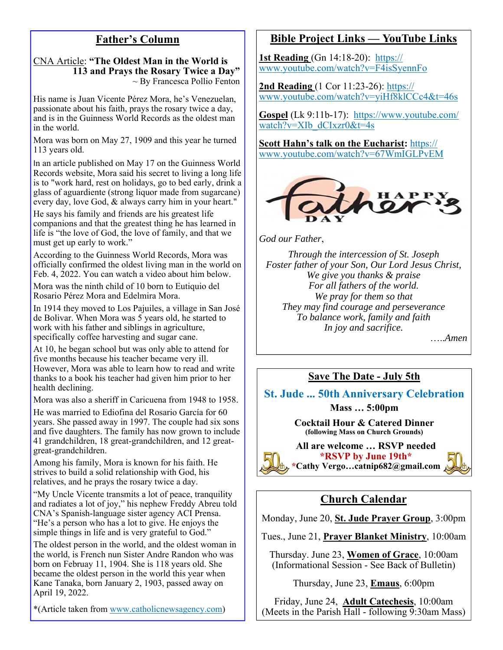# **Father's Column**

#### CNA Article: **"The Oldest Man in the World is 113 and Prays the Rosary Twice a Day"**  $\sim$  By Francesca Pollio Fenton

His name is Juan Vicente Pérez Mora, he's Venezuelan, passionate about his faith, prays the rosary twice a day, and is in the Guinness World Records as the oldest man in the world.

Mora was born on May 27, 1909 and this year he turned 113 years old.

In an article published on May 17 on the Guinness World Records website, Mora said his secret to living a long life is to "work hard, rest on holidays, go to bed early, drink a glass of aguardiente (strong liquor made from sugarcane) every day, love God, & always carry him in your heart."

He says his family and friends are his greatest life companions and that the greatest thing he has learned in life is "the love of God, the love of family, and that we must get up early to work."

According to the Guinness World Records, Mora was officially confirmed the oldest living man in the world on Feb. 4, 2022. You can watch a video about him below.

Mora was the ninth child of 10 born to Eutiquio del Rosario Pérez Mora and Edelmira Mora.

In 1914 they moved to Los Pajuiles, a village in San José de Bolivar. When Mora was 5 years old, he started to work with his father and siblings in agriculture, specifically coffee harvesting and sugar cane.

At 10, he began school but was only able to attend for five months because his teacher became very ill. However, Mora was able to learn how to read and write thanks to a book his teacher had given him prior to her health declining.

Mora was also a sheriff in Caricuena from 1948 to 1958.

He was married to Ediofina del Rosario García for 60 years. She passed away in 1997. The couple had six sons and five daughters. The family has now grown to include 41 grandchildren, 18 great-grandchildren, and 12 greatgreat-grandchildren.

Among his family, Mora is known for his faith. He strives to build a solid relationship with God, his relatives, and he prays the rosary twice a day.

"My Uncle Vicente transmits a lot of peace, tranquility and radiates a lot of joy," his nephew Freddy Abreu told CNA's Spanish-language sister agency ACI Prensa. "He's a person who has a lot to give. He enjoys the simple things in life and is very grateful to God."

The oldest person in the world, and the oldest woman in the world, is French nun Sister Andre Randon who was born on Februay 11, 1904. She is 118 years old. She became the oldest person in the world this year when Kane Tanaka, born January 2, 1903, passed away on April 19, 2022.

\*(Article taken from www.catholicnewsagency.com)

#### **Bible Project Links — YouTube Links**

**1st Reading** (Gn 14:18-20): https:// www.youtube.com/watch?v=F4isSyennFo

**2nd Reading** (1 Cor 11:23-26): https:// www.youtube.com/watch?v=yiHf8klCCc4&t=46s

**Gospel** (Lk 9:11b-17): https://www.youtube.com/ watch?v=XIb dCIxzr0&t=4s

**Scott Hahn's talk on the Eucharist:** https:// www.youtube.com/watch?v=67WmIGLPvEM



*God our Father*,

*Through the intercession of St. Joseph Foster father of your Son, Our Lord Jesus Christ, We give you thanks & praise For all fathers of the world. We pray for them so that They may find courage and perseverance To balance work, family and faith In joy and sacrifice.* 

…..*Amen*

#### **Save The Date - July 5th**

**St. Jude ... 50th Anniversary Celebration** 

**Mass … 5:00pm** 

**Cocktail Hour & Catered Dinner (following Mass on Church Grounds)** 

**All are welcome … RSVP needed \*RSVP by June 19th\* \*Cathy Vergo…catnip682@gmail.com** 



# **Church Calendar**

Monday, June 20, **St. Jude Prayer Group**, 3:00pm

Tues., June 21, **Prayer Blanket Ministry**, 10:00am

Thursday. June 23, **Women of Grace**, 10:00am (Informational Session - See Back of Bulletin)

Thursday, June 23, **Emaus**, 6:00pm

Friday, June 24, **Adult Catechesis**, 10:00am (Meets in the Parish Hall - following 9:30am Mass)